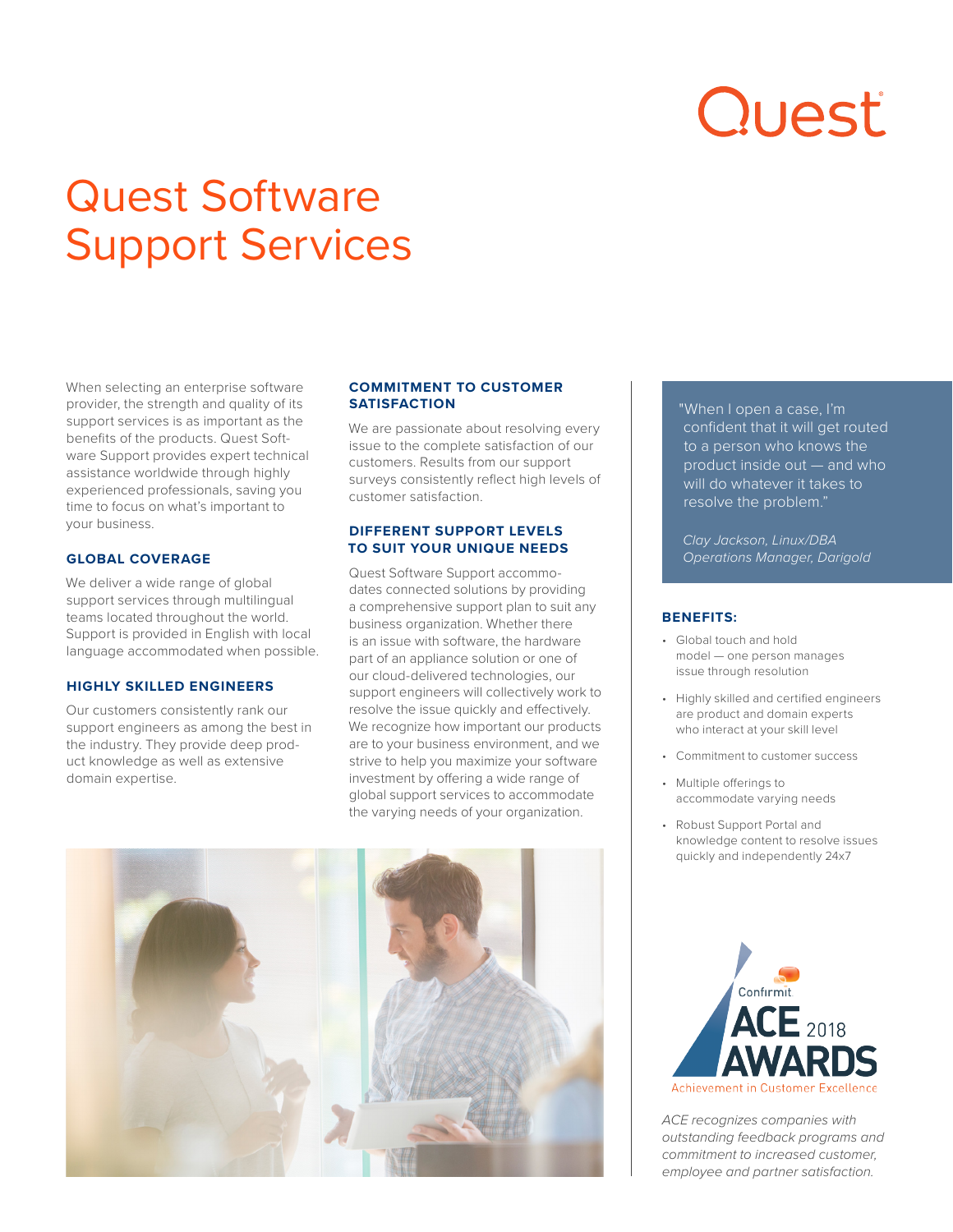# Quest

# Quest Software Support Services

When selecting an enterprise software provider, the strength and quality of its support services is as important as the benefits of the products. Quest Software Support provides expert technical assistance worldwide through highly experienced professionals, saving you time to focus on what's important to your business.

#### **GLOBAL COVERAGE**

We deliver a wide range of global support services through multilingual teams located throughout the world. Support is provided in English with local language accommodated when possible.

#### **HIGHLY SKILLED ENGINEERS**

Our customers consistently rank our support engineers as among the best in the industry. They provide deep product knowledge as well as extensive domain expertise.

#### **COMMITMENT TO CUSTOMER SATISFACTION**

We are passionate about resolving every issue to the complete satisfaction of our customers. Results from our support surveys consistently reflect high levels of customer satisfaction.

## **DIFFERENT SUPPORT LEVELS TO SUIT YOUR UNIQUE NEEDS**

Quest Software Support accommodates connected solutions by providing a comprehensive support plan to suit any business organization. Whether there is an issue with software, the hardware part of an appliance solution or one of our cloud-delivered technologies, our support engineers will collectively work to resolve the issue quickly and effectively. We recognize how important our products are to your business environment, and we strive to help you maximize your software investment by offering a wide range of global support services to accommodate the varying needs of your organization.



"When I open a case, I'm confident that it will get routed to a person who knows the product inside out — and who will do whatever it takes to resolve the problem."

*Clay Jackson, Linux/DBA Operations Manager, Darigold*

# **BENEFITS:**

- Global touch and hold model — one person manages issue through resolution
- Highly skilled and certified engineers are product and domain experts who interact at your skill level
- Commitment to customer success
- Multiple offerings to accommodate varying needs
- Robust Support Portal and knowledge content to resolve issues quickly and independently 24x7



*ACE recognizes companies with outstanding feedback programs and commitment to increased customer, employee and partner satisfaction.*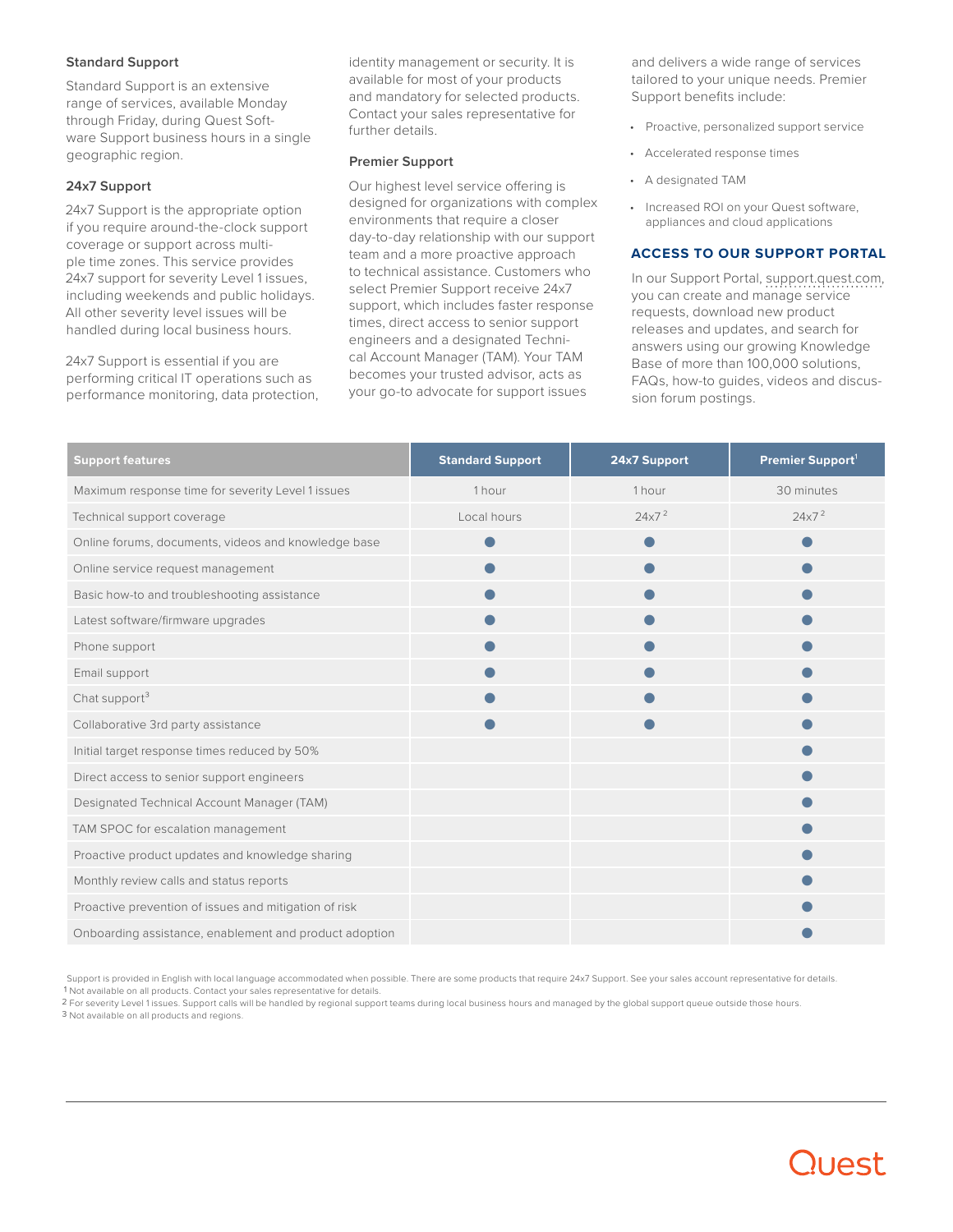#### **Standard Support**

Standard Support is an extensive range of services, available Monday through Friday, during Quest Software Support business hours in a single geographic region.

## **24x7 Support**

24x7 Support is the appropriate option if you require around-the-clock support coverage or support across multiple time zones. This service provides 24x7 support for severity Level 1 issues, including weekends and public holidays. All other severity level issues will be handled during local business hours.

24x7 Support is essential if you are performing critical IT operations such as performance monitoring, data protection, identity management or security. It is available for most of your products and mandatory for selected products. Contact your sales representative for further details.

#### **Premier Support**

Our highest level service offering is designed for organizations with complex environments that require a closer day-to-day relationship with our support team and a more proactive approach to technical assistance. Customers who select Premier Support receive 24x7 support, which includes faster response times, direct access to senior support engineers and a designated Technical Account Manager (TAM). Your TAM becomes your trusted advisor, acts as your go-to advocate for support issues

and delivers a wide range of services tailored to your unique needs. Premier Support benefits include:

- Proactive, personalized support service
- Accelerated response times
- A designated TAM
- Increased ROI on your Quest software, appliances and cloud applications

#### **ACCESS TO OUR SUPPORT PORTAL**

In our Support Portal, support.quest.com, you can create and manage service requests, download new product releases and updates, and search for answers using our growing Knowledge Base of more than 100,000 solutions, FAQs, how-to guides, videos and discussion forum postings.

| <b>Support features</b>                                | <b>Standard Support</b> | 24x7 Support      | Premier Support <sup>1</sup> |
|--------------------------------------------------------|-------------------------|-------------------|------------------------------|
| Maximum response time for severity Level 1 issues      | 1 hour                  | 1 hour            | 30 minutes                   |
| Technical support coverage                             | Local hours             | 24x7 <sup>2</sup> | 24x7 <sup>2</sup>            |
| Online forums, documents, videos and knowledge base    |                         |                   |                              |
| Online service request management                      |                         |                   |                              |
| Basic how-to and troubleshooting assistance            |                         |                   |                              |
| Latest software/firmware upgrades                      |                         |                   |                              |
| Phone support                                          |                         |                   |                              |
| Email support                                          |                         |                   |                              |
| Chat support <sup>3</sup>                              |                         |                   |                              |
| Collaborative 3rd party assistance                     |                         |                   |                              |
| Initial target response times reduced by 50%           |                         |                   |                              |
| Direct access to senior support engineers              |                         |                   |                              |
| Designated Technical Account Manager (TAM)             |                         |                   |                              |
| TAM SPOC for escalation management                     |                         |                   |                              |
| Proactive product updates and knowledge sharing        |                         |                   |                              |
| Monthly review calls and status reports                |                         |                   |                              |
| Proactive prevention of issues and mitigation of risk  |                         |                   |                              |
| Onboarding assistance, enablement and product adoption |                         |                   |                              |

Support is provided in English with local language accommodated when possible. There are some products that require 24x7 Support. See your sales account representative for details. 1 Not available on all products. Contact your sales representative for details.<br>D =

² For severity Level 1 issues. Support calls will be handled by regional support teams during local business hours and managed by the global support queue outside those hours.

3 Not available on all products and regions.